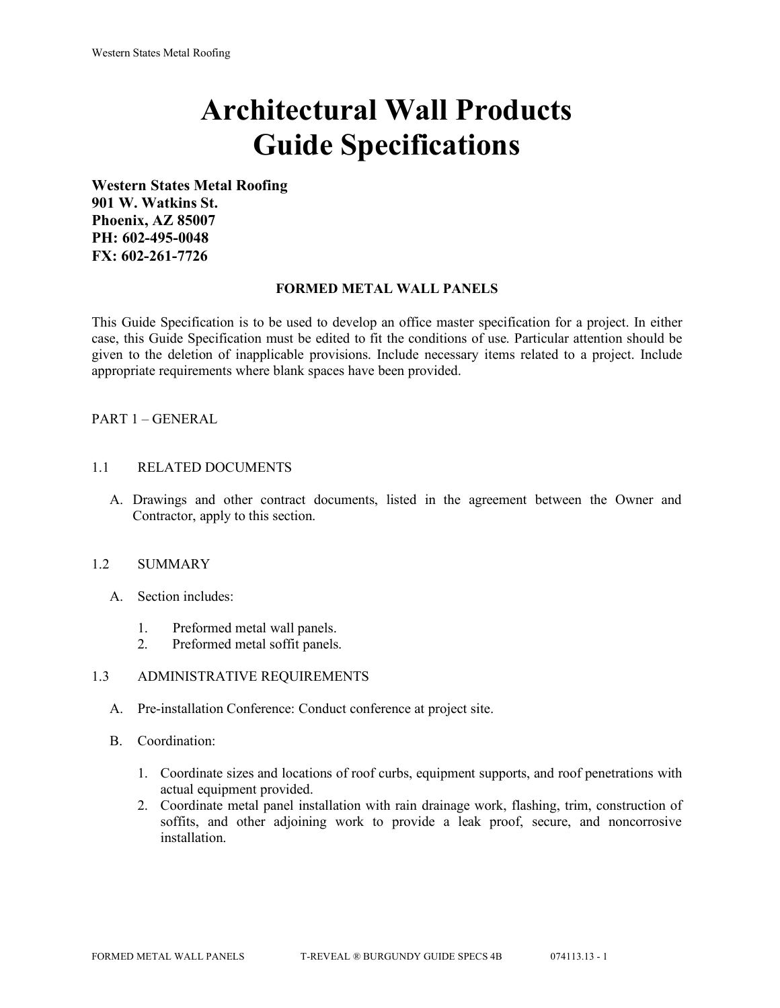# **Architectural Wall Products Guide Specifications**

**Western States Metal Roofing 901 W. Watkins St. Phoenix, AZ 85007 PH: 602-495-0048 FX: 602-261-7726**

#### **FORMED METAL WALL PANELS**

This Guide Specification is to be used to develop an office master specification for a project. In either case, this Guide Specification must be edited to fit the conditions of use. Particular attention should be given to the deletion of inapplicable provisions. Include necessary items related to a project. Include appropriate requirements where blank spaces have been provided.

## PART 1 – GENERAL

#### 1.1 RELATED DOCUMENTS

A. Drawings and other contract documents, listed in the agreement between the Owner and Contractor, apply to this section.

#### 1.2 SUMMARY

- A. Section includes:
	- 1. Preformed metal wall panels.
	- 2. Preformed metal soffit panels.

#### 1.3 ADMINISTRATIVE REQUIREMENTS

- A. Pre-installation Conference: Conduct conference at project site.
- B. Coordination:
	- 1. Coordinate sizes and locations of roof curbs, equipment supports, and roof penetrations with actual equipment provided.
	- 2. Coordinate metal panel installation with rain drainage work, flashing, trim, construction of soffits, and other adjoining work to provide a leak proof, secure, and noncorrosive installation.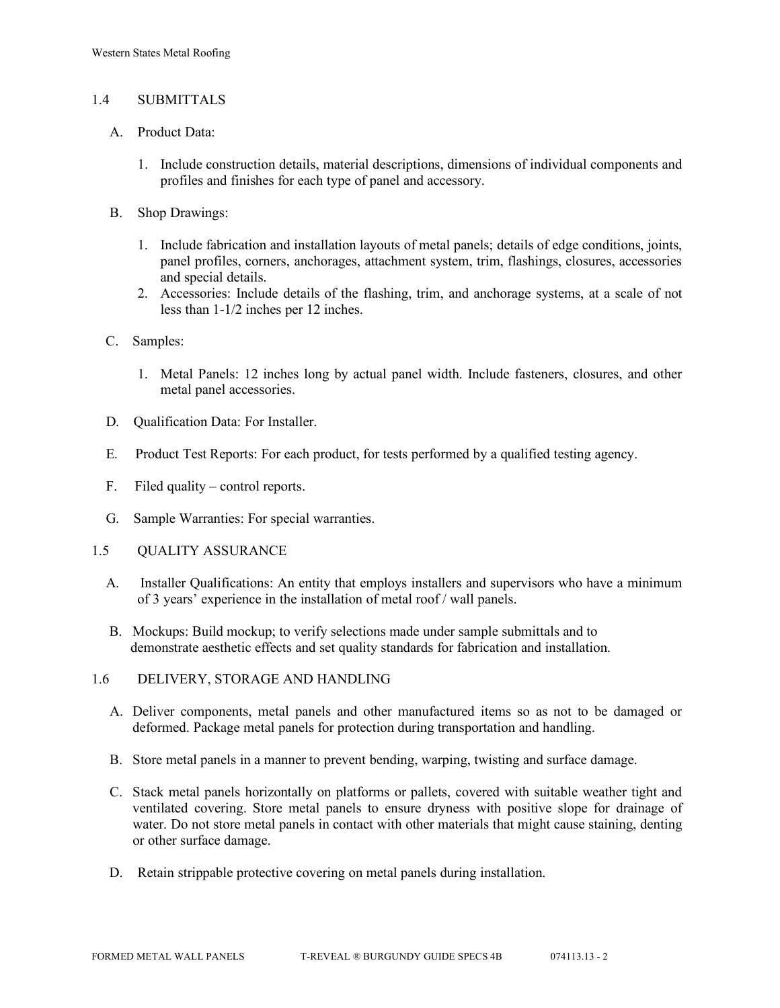## 1.4 SUBMITTALS

- A. Product Data:
	- 1. Include construction details, material descriptions, dimensions of individual components and profiles and finishes for each type of panel and accessory.
- B. Shop Drawings:
	- 1. Include fabrication and installation layouts of metal panels; details of edge conditions, joints, panel profiles, corners, anchorages, attachment system, trim, flashings, closures, accessories and special details.
	- 2. Accessories: Include details of the flashing, trim, and anchorage systems, at a scale of not less than 1-1/2 inches per 12 inches.
- C. Samples:
	- 1. Metal Panels: 12 inches long by actual panel width. Include fasteners, closures, and other metal panel accessories.
- D. Qualification Data: For Installer.
- E. Product Test Reports: For each product, for tests performed by a qualified testing agency.
- F. Filed quality control reports.
- G. Sample Warranties: For special warranties.
- 1.5 QUALITY ASSURANCE
	- A. Installer Qualifications: An entity that employs installers and supervisors who have a minimum of 3 years' experience in the installation of metal roof / wall panels.
	- B. Mockups: Build mockup; to verify selections made under sample submittals and to demonstrate aesthetic effects and set quality standards for fabrication and installation.
- 1.6 DELIVERY, STORAGE AND HANDLING
	- A. Deliver components, metal panels and other manufactured items so as not to be damaged or deformed. Package metal panels for protection during transportation and handling.
	- B. Store metal panels in a manner to prevent bending, warping, twisting and surface damage.
	- C. Stack metal panels horizontally on platforms or pallets, covered with suitable weather tight and ventilated covering. Store metal panels to ensure dryness with positive slope for drainage of water. Do not store metal panels in contact with other materials that might cause staining, denting or other surface damage.
	- D. Retain strippable protective covering on metal panels during installation.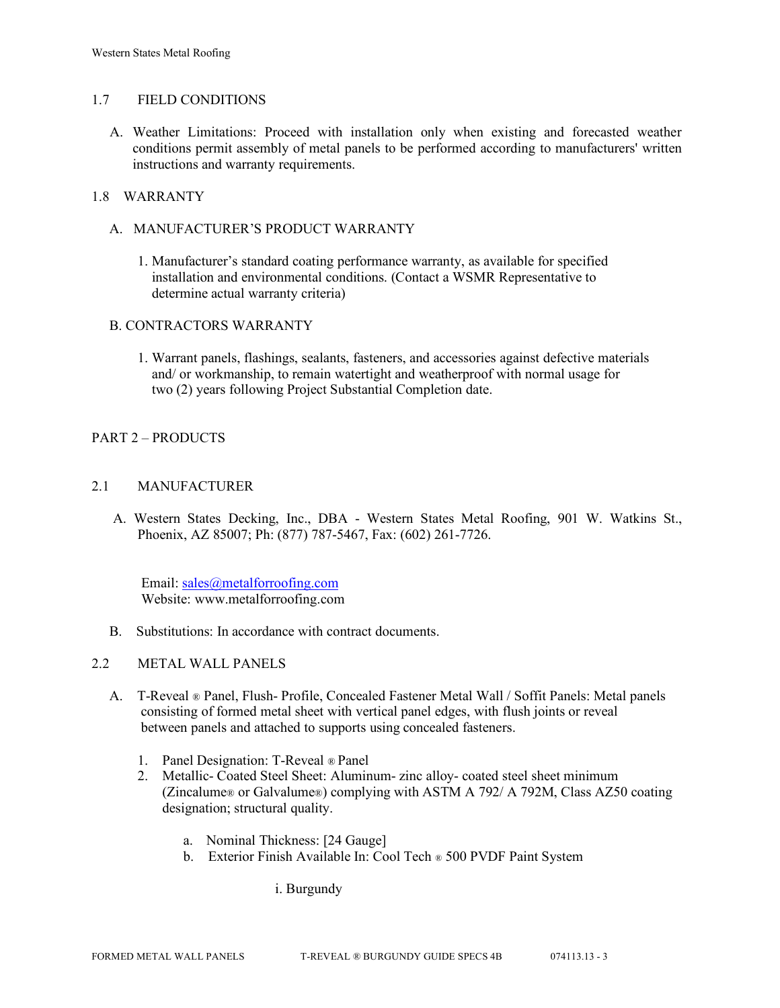## 1.7 FIELD CONDITIONS

A. Weather Limitations: Proceed with installation only when existing and forecasted weather conditions permit assembly of metal panels to be performed according to manufacturers' written instructions and warranty requirements.

## 1.8 WARRANTY

## A. MANUFACTURER'S PRODUCT WARRANTY

1. Manufacturer's standard coating performance warranty, as available for specified installation and environmental conditions. (Contact a WSMR Representative to determine actual warranty criteria)

## B. CONTRACTORS WARRANTY

1. Warrant panels, flashings, sealants, fasteners, and accessories against defective materials and/ or workmanship, to remain watertight and weatherproof with normal usage for two (2) years following Project Substantial Completion date.

## PART 2 – PRODUCTS

## 2.1 MANUFACTURER

 A. Western States Decking, Inc., DBA - Western States Metal Roofing, 901 W. Watkins St., Phoenix, AZ 85007; Ph: (877) 787-5467, Fax: (602) 261-7726.

Email: [sales@metalforroofing.com](mailto:sales@metalforroofing.com) Website: www.metalforroofing.com

B. Substitutions: In accordance with contract documents.

#### 2.2 METAL WALL PANELS

- A. T-Reveal ® Panel, Flush- Profile, Concealed Fastener Metal Wall / Soffit Panels: Metal panels consisting of formed metal sheet with vertical panel edges, with flush joints or reveal between panels and attached to supports using concealed fasteners.
	- 1. Panel Designation: T-Reveal ® Panel
	- 2. Metallic- Coated Steel Sheet: Aluminum- zinc alloy- coated steel sheet minimum (Zincalume® or Galvalume®) complying with ASTM A 792/ A 792M, Class AZ50 coating designation; structural quality.
		- a. Nominal Thickness: [24 Gauge]
		- b. Exterior Finish Available In: Cool Tech ® 500 PVDF Paint System

i. Burgundy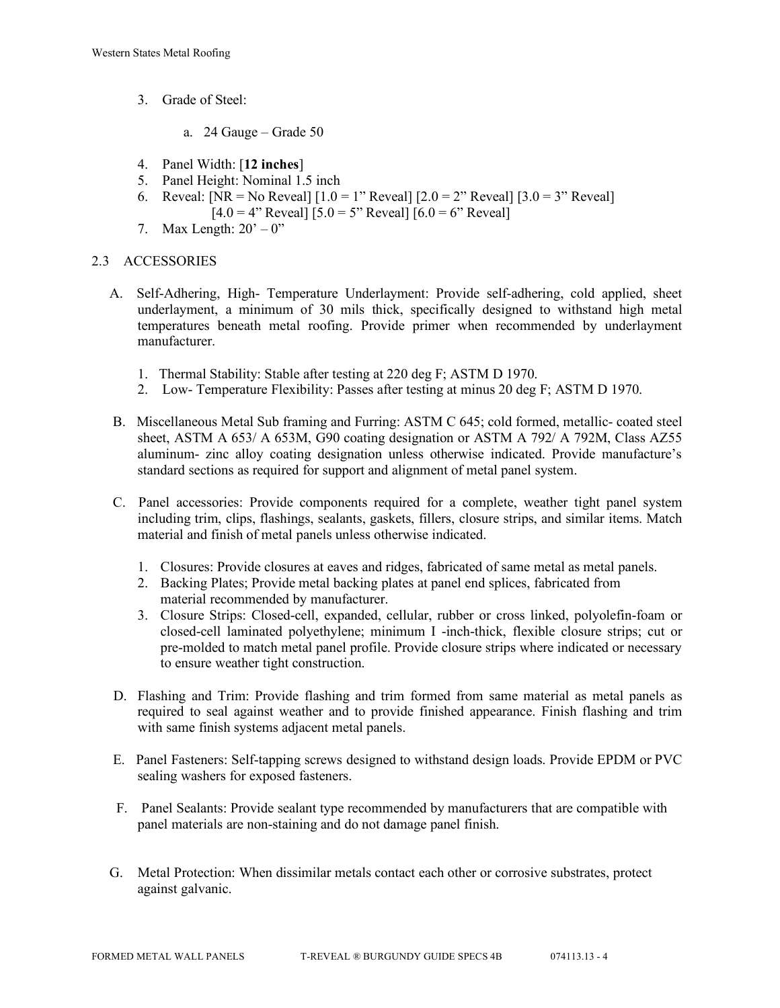- 3. Grade of Steel:
	- a. 24 Gauge Grade 50
- 4. Panel Width: [**12 inches**]
- 5. Panel Height: Nominal 1.5 inch
- 6. Reveal:  $[NR = No$  Reveal $] [1.0 = 1$ " Reveal $] [2.0 = 2$ " Reveal $] [3.0 = 3$ " Reveal $]$  $[4.0 = 4"$  Reveal]  $[5.0 = 5"$  Reveal]  $[6.0 = 6"$  Reveal]
- 7. Max Length:  $20^\circ 0$ "

# 2.3 ACCESSORIES

- A. Self-Adhering, High- Temperature Underlayment: Provide self-adhering, cold applied, sheet underlayment, a minimum of 30 mils thick, specifically designed to withstand high metal temperatures beneath metal roofing. Provide primer when recommended by underlayment manufacturer.
	- 1. Thermal Stability: Stable after testing at 220 deg F; ASTM D 1970.
	- 2. Low- Temperature Flexibility: Passes after testing at minus 20 deg F; ASTM D 1970.
- B. Miscellaneous Metal Sub framing and Furring: ASTM C 645; cold formed, metallic- coated steel sheet, ASTM A 653/ A 653M, G90 coating designation or ASTM A 792/ A 792M, Class AZ55 aluminum- zinc alloy coating designation unless otherwise indicated. Provide manufacture's standard sections as required for support and alignment of metal panel system.
- C. Panel accessories: Provide components required for a complete, weather tight panel system including trim, clips, flashings, sealants, gaskets, fillers, closure strips, and similar items. Match material and finish of metal panels unless otherwise indicated.
	- 1. Closures: Provide closures at eaves and ridges, fabricated of same metal as metal panels.
	- 2. Backing Plates; Provide metal backing plates at panel end splices, fabricated from material recommended by manufacturer.
	- 3. Closure Strips: Closed-cell, expanded, cellular, rubber or cross linked, polyolefin-foam or closed-cell laminated polyethylene; minimum I -inch-thick, flexible closure strips; cut or pre-molded to match metal panel profile. Provide closure strips where indicated or necessary to ensure weather tight construction.
- D. Flashing and Trim: Provide flashing and trim formed from same material as metal panels as required to seal against weather and to provide finished appearance. Finish flashing and trim with same finish systems adjacent metal panels.
- E. Panel Fasteners: Self-tapping screws designed to withstand design loads. Provide EPDM or PVC sealing washers for exposed fasteners.
- F. Panel Sealants: Provide sealant type recommended by manufacturers that are compatible with panel materials are non-staining and do not damage panel finish.
- G. Metal Protection: When dissimilar metals contact each other or corrosive substrates, protect against galvanic.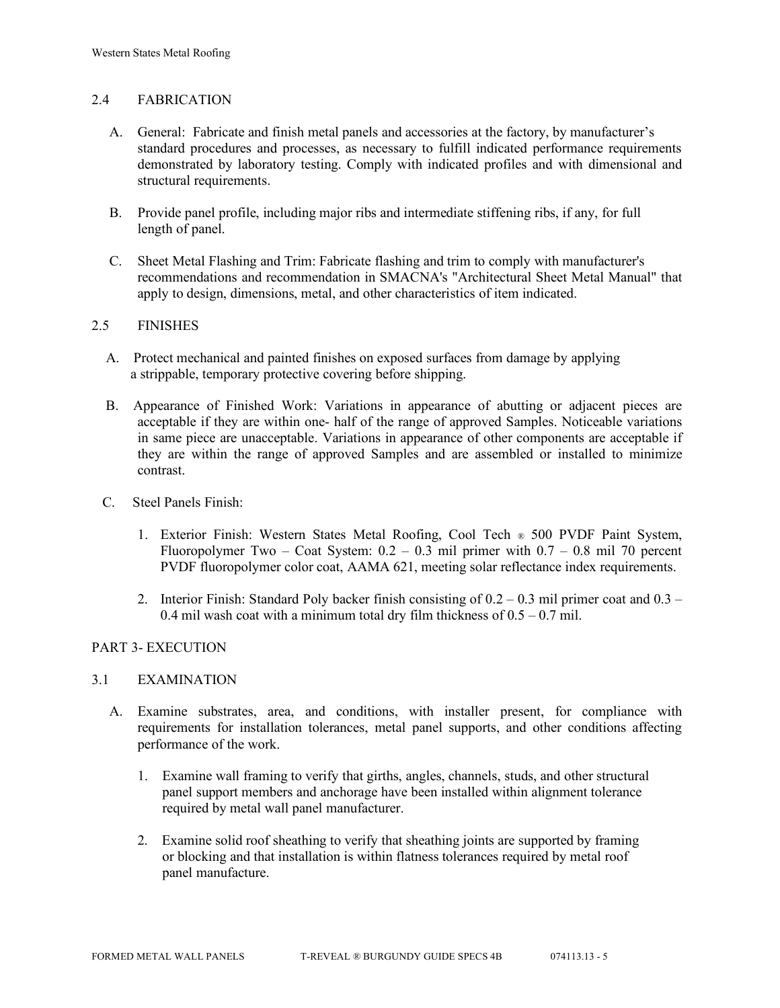## 2.4 FABRICATION

- A. General: Fabricate and finish metal panels and accessories at the factory, by manufacturer's standard procedures and processes, as necessary to fulfill indicated performance requirements demonstrated by laboratory testing. Comply with indicated profiles and with dimensional and structural requirements.
- B. Provide panel profile, including major ribs and intermediate stiffening ribs, if any, for full length of panel.
- C. Sheet Metal Flashing and Trim: Fabricate flashing and trim to comply with manufacturer's recommendations and recommendation in SMACNA's "Architectural Sheet Metal Manual" that apply to design, dimensions, metal, and other characteristics of item indicated.

## 2.5 FINISHES

- A. Protect mechanical and painted finishes on exposed surfaces from damage by applying a strippable, temporary protective covering before shipping.
- B. Appearance of Finished Work: Variations in appearance of abutting or adjacent pieces are acceptable if they are within one- half of the range of approved Samples. Noticeable variations in same piece are unacceptable. Variations in appearance of other components are acceptable if they are within the range of approved Samples and are assembled or installed to minimize contrast.
- C. Steel Panels Finish:
	- 1. Exterior Finish: Western States Metal Roofing, Cool Tech ® 500 PVDF Paint System, Fluoropolymer Two – Coat System:  $0.2 - 0.3$  mil primer with  $0.7 - 0.8$  mil 70 percent PVDF fluoropolymer color coat, AAMA 621, meeting solar reflectance index requirements.
	- 2. Interior Finish: Standard Poly backer finish consisting of  $0.2 0.3$  mil primer coat and  $0.3 -$ 0.4 mil wash coat with a minimum total dry film thickness of  $0.5 - 0.7$  mil.

## PART 3- EXECUTION

#### 3.1 EXAMINATION

- A. Examine substrates, area, and conditions, with installer present, for compliance with requirements for installation tolerances, metal panel supports, and other conditions affecting performance of the work.
	- 1. Examine wall framing to verify that girths, angles, channels, studs, and other structural panel support members and anchorage have been installed within alignment tolerance required by metal wall panel manufacturer.
	- 2. Examine solid roof sheathing to verify that sheathing joints are supported by framing or blocking and that installation is within flatness tolerances required by metal roof panel manufacture.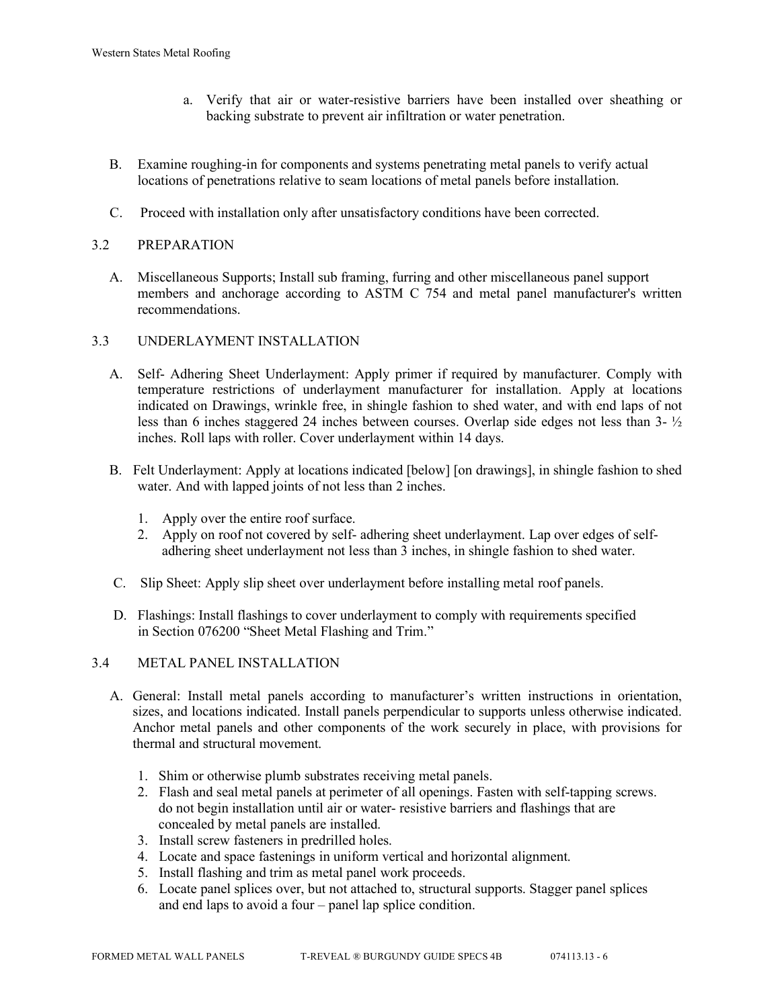- a. Verify that air or water-resistive barriers have been installed over sheathing or backing substrate to prevent air infiltration or water penetration.
- B. Examine roughing-in for components and systems penetrating metal panels to verify actual locations of penetrations relative to seam locations of metal panels before installation.
- C. Proceed with installation only after unsatisfactory conditions have been corrected.

# 3.2 PREPARATION

 A. Miscellaneous Supports; Install sub framing, furring and other miscellaneous panel support members and anchorage according to ASTM C 754 and metal panel manufacturer's written recommendations.

## 3.3 UNDERLAYMENT INSTALLATION

- A. Self- Adhering Sheet Underlayment: Apply primer if required by manufacturer. Comply with temperature restrictions of underlayment manufacturer for installation. Apply at locations indicated on Drawings, wrinkle free, in shingle fashion to shed water, and with end laps of not less than 6 inches staggered 24 inches between courses. Overlap side edges not less than 3- ½ inches. Roll laps with roller. Cover underlayment within 14 days.
- B. Felt Underlayment: Apply at locations indicated [below] [on drawings], in shingle fashion to shed water. And with lapped joints of not less than 2 inches.
	- 1. Apply over the entire roof surface.
	- 2. Apply on roof not covered by self- adhering sheet underlayment. Lap over edges of self adhering sheet underlayment not less than 3 inches, in shingle fashion to shed water.
- C. Slip Sheet: Apply slip sheet over underlayment before installing metal roof panels.
- D. Flashings: Install flashings to cover underlayment to comply with requirements specified in Section 076200 "Sheet Metal Flashing and Trim."

## 3.4 METAL PANEL INSTALLATION

- A. General: Install metal panels according to manufacturer's written instructions in orientation, sizes, and locations indicated. Install panels perpendicular to supports unless otherwise indicated. Anchor metal panels and other components of the work securely in place, with provisions for thermal and structural movement.
	- 1. Shim or otherwise plumb substrates receiving metal panels.
	- 2. Flash and seal metal panels at perimeter of all openings. Fasten with self-tapping screws. do not begin installation until air or water- resistive barriers and flashings that are concealed by metal panels are installed.
	- 3. Install screw fasteners in predrilled holes.
	- 4. Locate and space fastenings in uniform vertical and horizontal alignment.
	- 5. Install flashing and trim as metal panel work proceeds.
	- 6. Locate panel splices over, but not attached to, structural supports. Stagger panel splices and end laps to avoid a four – panel lap splice condition.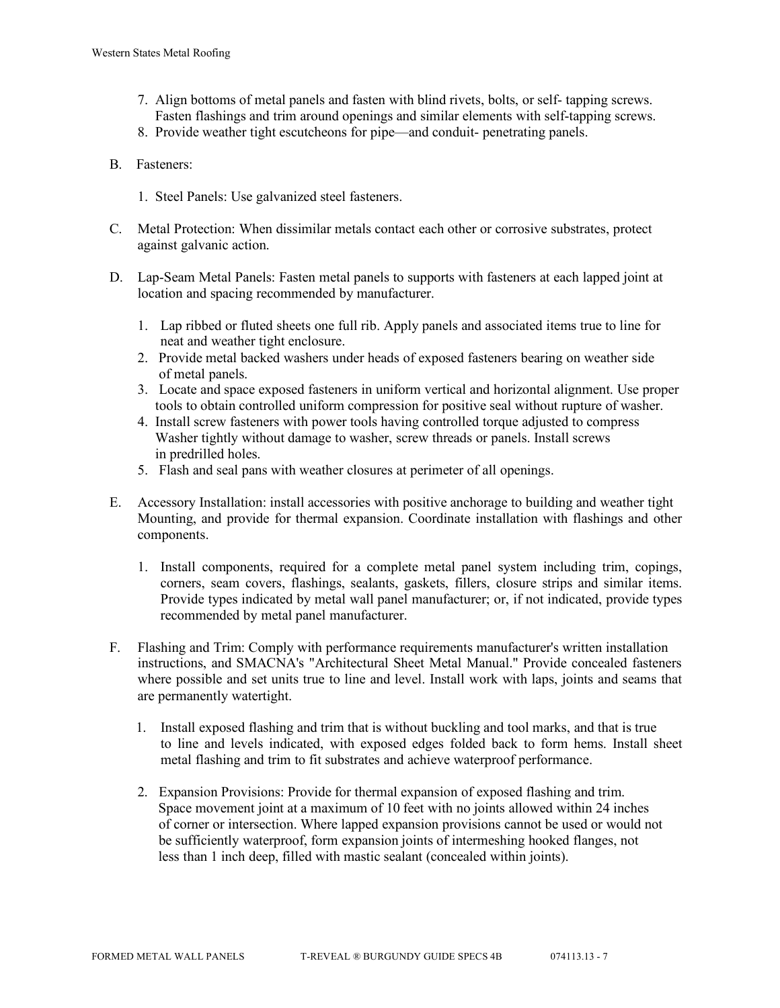- 7. Align bottoms of metal panels and fasten with blind rivets, bolts, or self- tapping screws. Fasten flashings and trim around openings and similar elements with self-tapping screws.
- 8. Provide weather tight escutcheons for pipe—and conduit- penetrating panels.
- B. Fasteners:
	- 1. Steel Panels: Use galvanized steel fasteners.
- C. Metal Protection: When dissimilar metals contact each other or corrosive substrates, protect against galvanic action.
- D. Lap-Seam Metal Panels: Fasten metal panels to supports with fasteners at each lapped joint at location and spacing recommended by manufacturer.
	- 1. Lap ribbed or fluted sheets one full rib. Apply panels and associated items true to line for neat and weather tight enclosure.
	- 2. Provide metal backed washers under heads of exposed fasteners bearing on weather side of metal panels.
	- 3. Locate and space exposed fasteners in uniform vertical and horizontal alignment. Use proper tools to obtain controlled uniform compression for positive seal without rupture of washer.
	- 4. Install screw fasteners with power tools having controlled torque adjusted to compress Washer tightly without damage to washer, screw threads or panels. Install screws in predrilled holes.
	- 5. Flash and seal pans with weather closures at perimeter of all openings.
- E. Accessory Installation: install accessories with positive anchorage to building and weather tight Mounting, and provide for thermal expansion. Coordinate installation with flashings and other components.
	- 1. Install components, required for a complete metal panel system including trim, copings, corners, seam covers, flashings, sealants, gaskets, fillers, closure strips and similar items. Provide types indicated by metal wall panel manufacturer; or, if not indicated, provide types recommended by metal panel manufacturer.
- F. Flashing and Trim: Comply with performance requirements manufacturer's written installation instructions, and SMACNA's "Architectural Sheet Metal Manual." Provide concealed fasteners where possible and set units true to line and level. Install work with laps, joints and seams that are permanently watertight.
	- 1. Install exposed flashing and trim that is without buckling and tool marks, and that is true to line and levels indicated, with exposed edges folded back to form hems. Install sheet metal flashing and trim to fit substrates and achieve waterproof performance.
	- 2. Expansion Provisions: Provide for thermal expansion of exposed flashing and trim. Space movement joint at a maximum of 10 feet with no joints allowed within 24 inches of corner or intersection. Where lapped expansion provisions cannot be used or would not be sufficiently waterproof, form expansion joints of intermeshing hooked flanges, not less than 1 inch deep, filled with mastic sealant (concealed within joints).